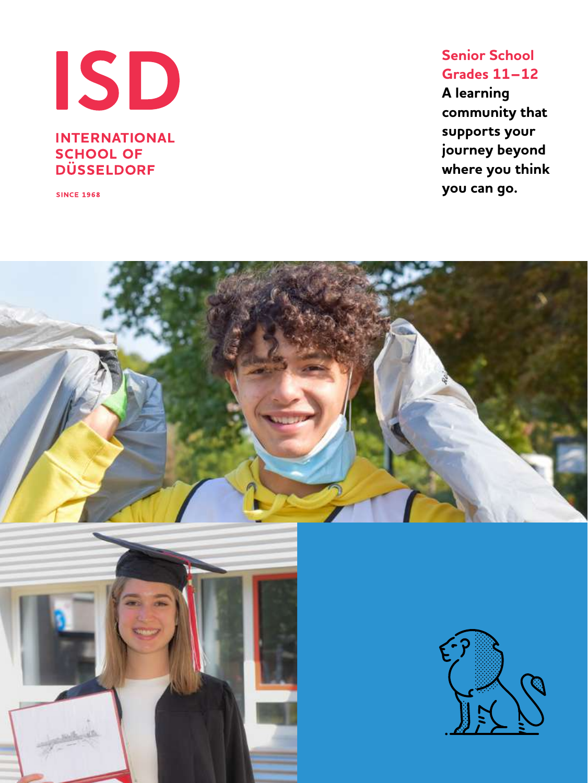

### **INTERNATIONAL SCHOOL OF DÜSSELDORF**

**SINCE 1968** 

### **Senior School Grades 11–12**

**A learning community that supports your journey beyond where you think you can go.**

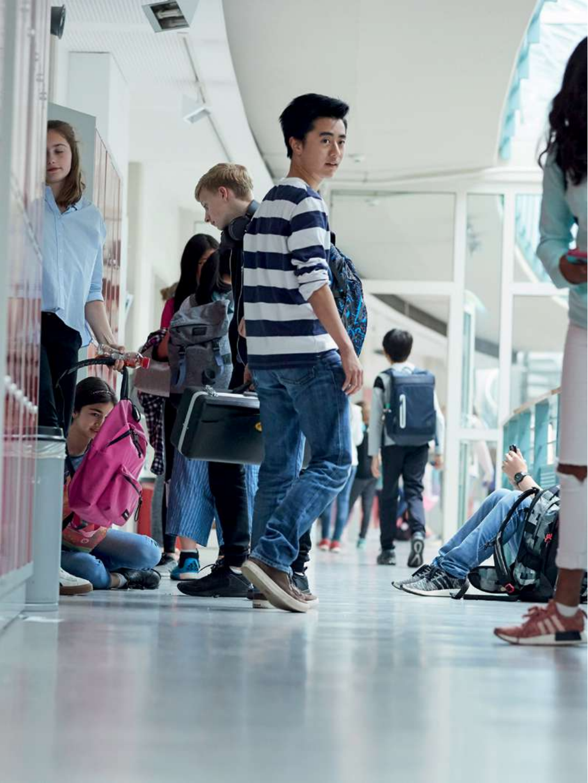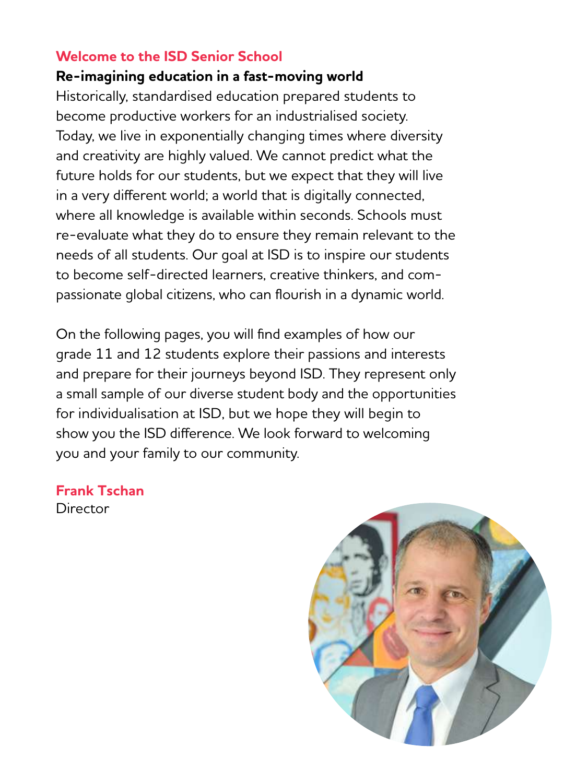### **Welcome to the ISD Senior School**

### **Re-imagining education in a fast-moving world**

Historically, standardised education prepared students to become productive workers for an industrialised society. Today, we live in exponentially changing times where diversity and creativity are highly valued. We cannot predict what the future holds for our students, but we expect that they will live in a very different world; a world that is digitally connected, where all knowledge is available within seconds. Schools must re-evaluate what they do to ensure they remain relevant to the needs of all students. Our goal at ISD is to inspire our students to become self-directed learners, creative thinkers, and compassionate global citizens, who can flourish in a dynamic world.

On the following pages, you will find examples of how our grade 11 and 12 students explore their passions and interests and prepare for their journeys beyond ISD. They represent only a small sample of our diverse student body and the opportunities for individualisation at ISD, but we hope they will begin to show you the ISD difference. We look forward to welcoming you and your family to our community.

### **Frank Tschan**

**Director** 

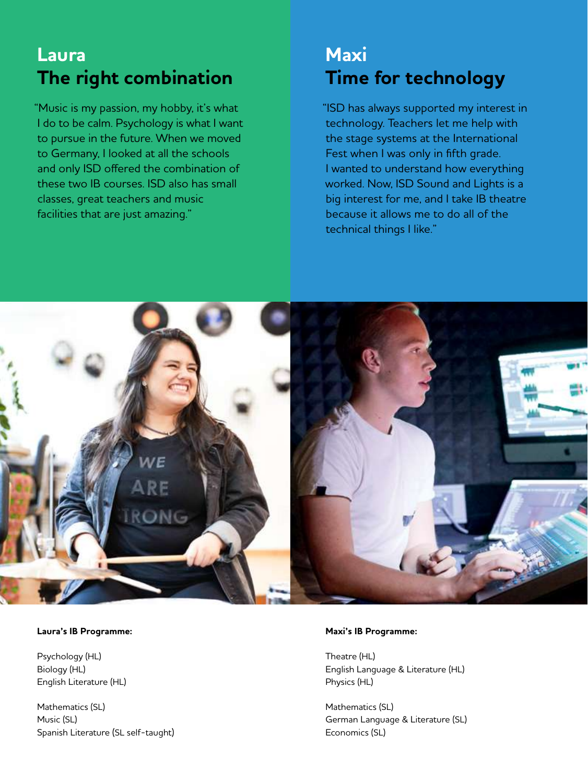### **Laura The right combination**

"Music is my passion, my hobby, it's what I do to be calm. Psychology is what I want to pursue in the future. When we moved to Germany, I looked at all the schools and only ISD offered the combination of these two IB courses. ISD also has small classes, great teachers and music facilities that are just amazing."

## **Maxi Time for technology**

"ISD has always supported my interest in technology. Teachers let me help with the stage systems at the International Fest when I was only in fifth grade. I wanted to understand how everything worked. Now, ISD Sound and Lights is a big interest for me, and I take IB theatre because it allows me to do all of the technical things I like."



#### **Laura's IB Programme:**

Psychology (HL) Biology (HL) English Literature (HL)

Mathematics (SL) Music (SL) Spanish Literature (SL self-taught)

#### **Maxi's IB Programme:**

Theatre (HL) English Language & Literature (HL) Physics (HL)

Mathematics (SL) German Language & Literature (SL) Economics (SL)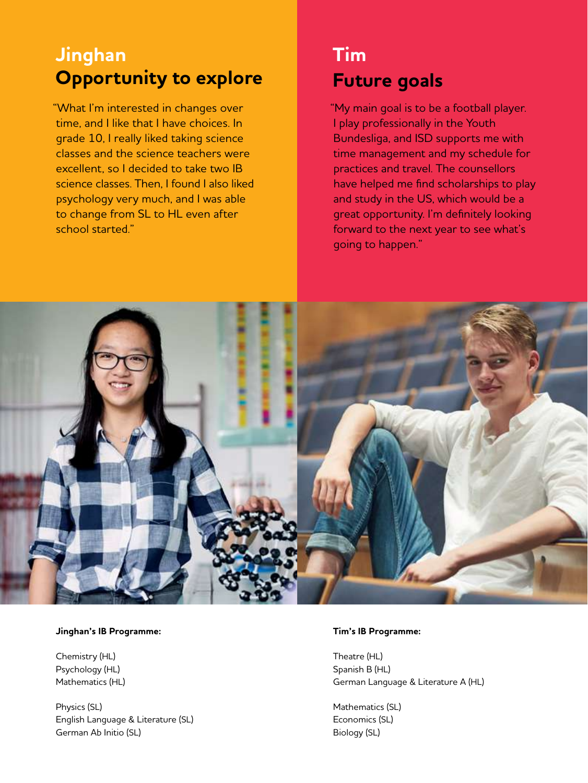## **Jinghan Opportunity to explore**

"What I'm interested in changes over time, and I like that I have choices. In grade 10, I really liked taking science classes and the science teachers were excellent, so I decided to take two IB science classes. Then, I found I also liked psychology very much, and I was able to change from SL to HL even after school started."

## **Tim Future goals**

"My main goal is to be a football player. I play professionally in the Youth Bundesliga, and ISD supports me with time management and my schedule for practices and travel. The counsellors have helped me find scholarships to play and study in the US, which would be a great opportunity. I'm definitely looking forward to the next year to see what's going to happen."



#### **Jinghan's IB Programme:**

Chemistry (HL) Psychology (HL) Mathematics (HL)

Physics (SL) English Language & Literature (SL) German Ab Initio (SL)

#### **Tim's IB Programme:**

Theatre (HL) Spanish B (HL) German Language & Literature A (HL)

Mathematics (SL) Economics (SL) Biology (SL)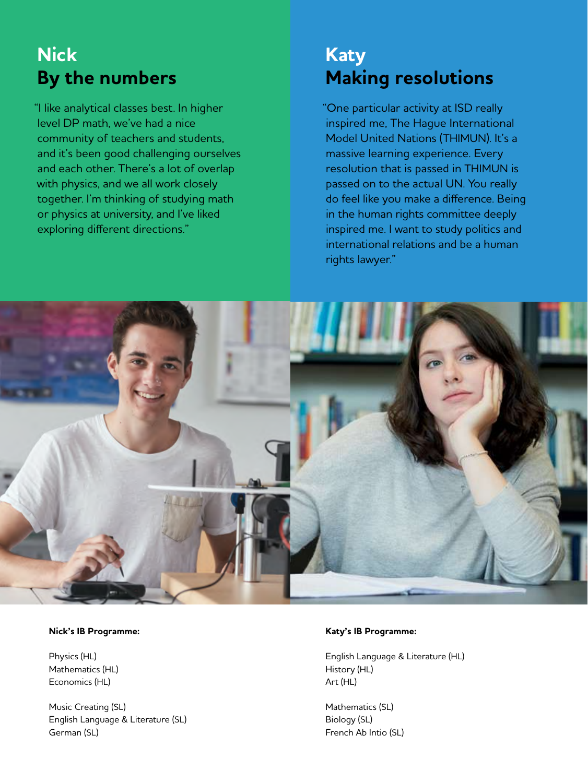## **Nick By the numbers**

"I like analytical classes best. In higher level DP math, we've had a nice community of teachers and students, and it's been good challenging ourselves and each other. There's a lot of overlap with physics, and we all work closely together. I'm thinking of studying math or physics at university, and I've liked exploring different directions."

## **Katy Making resolutions**

"One particular activity at ISD really inspired me, The Hague International Model United Nations (THIMUN). It's a massive learning experience. Every resolution that is passed in THIMUN is passed on to the actual UN. You really do feel like you make a difference. Being in the human rights committee deeply inspired me. I want to study politics and international relations and be a human rights lawyer."



#### **Nick's IB Programme:**

Physics (HL) Mathematics (HL) Economics (HL)

Music Creating (SL) English Language & Literature (SL) German (SL)

#### **Katy's IB Programme:**

English Language & Literature (HL) History (HL) Art (HL)

Mathematics (SL) Biology (SL) French Ab Intio (SL)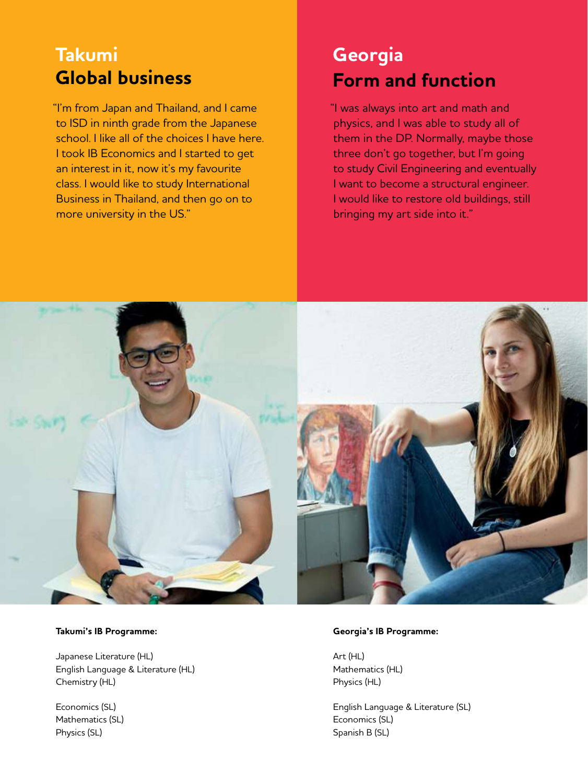## **Takumi Global business**

"I'm from Japan and Thailand, and I came to ISD in ninth grade from the Japanese school. I like all of the choices I have here. I took IB Economics and I started to get an interest in it, now it's my favourite class. I would like to study International Business in Thailand, and then go on to more university in the US."

## **Georgia Form and function**

"I was always into art and math and physics, and I was able to study all of them in the DP. Normally, maybe those three don't go together, but I'm going to study Civil Engineering and eventually I want to become a structural engineer. I would like to restore old buildings, still bringing my art side into it."



#### **Takumi's IB Programme:**

Japanese Literature (HL) English Language & Literature (HL) Chemistry (HL)

Economics (SL) Mathematics (SL) Physics (SL)

#### **Georgia's IB Programme:**

Art (HL) Mathematics (HL) Physics (HL)

English Language & Literature (SL) Economics (SL) Spanish B (SL)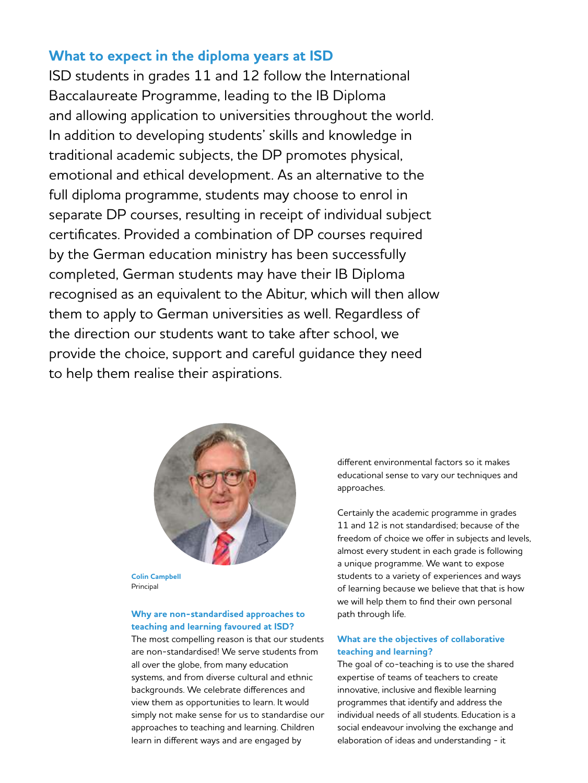### **What to expect in the diploma years at ISD**

ISD students in grades 11 and 12 follow the International Baccalaureate Programme, leading to the IB Diploma and allowing application to universities throughout the world. In addition to developing students' skills and knowledge in traditional academic subjects, the DP promotes physical, emotional and ethical development. As an alternative to the full diploma programme, students may choose to enrol in separate DP courses, resulting in receipt of individual subject certificates. Provided a combination of DP courses required by the German education ministry has been successfully completed, German students may have their IB Diploma recognised as an equivalent to the Abitur, which will then allow them to apply to German universities as well. Regardless of the direction our students want to take after school, we provide the choice, support and careful guidance they need to help them realise their aspirations.



**Colin Campbell** Principal

#### **Why are non-standardised approaches to teaching and learning favoured at ISD?**

The most compelling reason is that our students are non-standardised! We serve students from all over the globe, from many education systems, and from diverse cultural and ethnic backgrounds. We celebrate differences and view them as opportunities to learn. It would simply not make sense for us to standardise our approaches to teaching and learning. Children learn in different ways and are engaged by

different environmental factors so it makes educational sense to vary our techniques and approaches.

Certainly the academic programme in grades 11 and 12 is not standardised; because of the freedom of choice we offer in subjects and levels, almost every student in each grade is following a unique programme. We want to expose students to a variety of experiences and ways of learning because we believe that that is how we will help them to find their own personal path through life.

#### **What are the objectives of collaborative teaching and learning?**

The goal of co-teaching is to use the shared expertise of teams of teachers to create innovative, inclusive and flexible learning programmes that identify and address the individual needs of all students. Education is a social endeavour involving the exchange and elaboration of ideas and understanding - it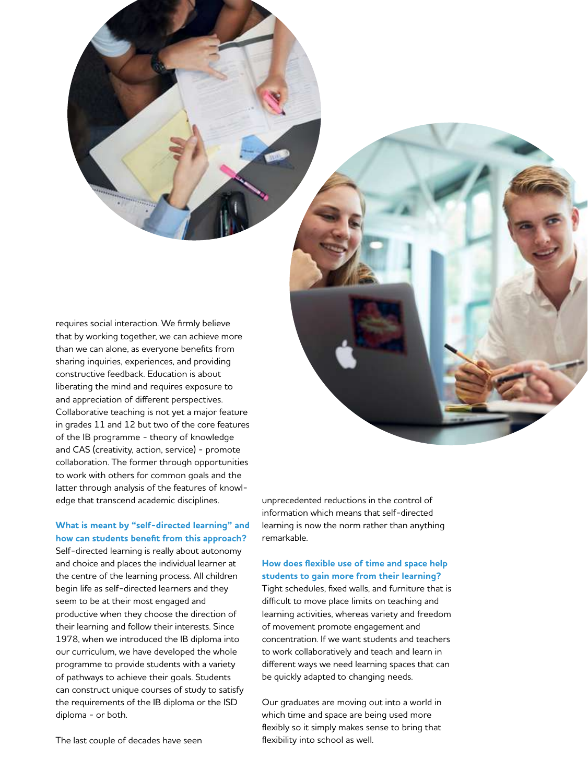requires social interaction. We firmly believe that by working together, we can achieve more than we can alone, as everyone benefits from sharing inquiries, experiences, and providing constructive feedback. Education is about liberating the mind and requires exposure to and appreciation of different perspectives. Collaborative teaching is not yet a major feature in grades 11 and 12 but two of the core features of the IB programme - theory of knowledge and CAS (creativity, action, service) - promote collaboration. The former through opportunities to work with others for common goals and the latter through analysis of the features of knowledge that transcend academic disciplines.

### **What is meant by "self-directed learning" and how can students benefit from this approach?**

Self-directed learning is really about autonomy and choice and places the individual learner at the centre of the learning process. All children begin life as self-directed learners and they seem to be at their most engaged and productive when they choose the direction of their learning and follow their interests. Since 1978, when we introduced the IB diploma into our curriculum, we have developed the whole programme to provide students with a variety of pathways to achieve their goals. Students can construct unique courses of study to satisfy the requirements of the IB diploma or the ISD diploma - or both.

unprecedented reductions in the control of information which means that self-directed learning is now the norm rather than anything remarkable.

#### **How does flexible use of time and space help students to gain more from their learning?**

Tight schedules, fixed walls, and furniture that is difficult to move place limits on teaching and learning activities, whereas variety and freedom of movement promote engagement and concentration. If we want students and teachers to work collaboratively and teach and learn in different ways we need learning spaces that can be quickly adapted to changing needs.

Our graduates are moving out into a world in which time and space are being used more flexibly so it simply makes sense to bring that flexibility into school as well.

The last couple of decades have seen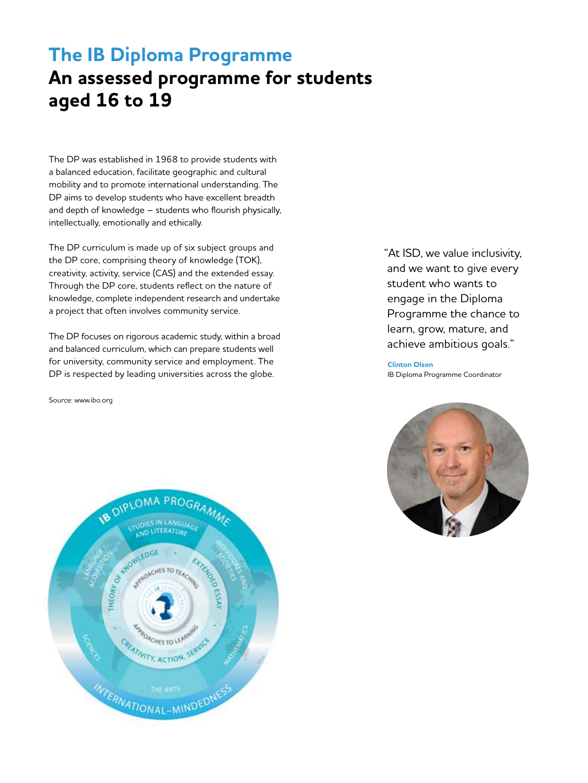## **The IB Diploma Programme An assessed programme for students aged 16 to 19**

The DP was established in 1968 to provide students with a balanced education, facilitate geographic and cultural mobility and to promote international understanding. The DP aims to develop students who have excellent breadth and depth of knowledge – students who flourish physically, intellectually, emotionally and ethically.

The DP curriculum is made up of six subject groups and the DP core, comprising theory of knowledge (TOK), creativity, activity, service (CAS) and the extended essay. Through the DP core, students reflect on the nature of knowledge, complete independent research and undertake a project that often involves community service.

The DP focuses on rigorous academic study, within a broad and balanced curriculum, which can prepare students well for university, community service and employment. The DP is respected by leading universities across the globe.

Source: www.ibo.org

"At ISD, we value inclusivity, and we want to give every student who wants to engage in the Diploma Programme the chance to learn, grow, mature, and achieve ambitious goals."

**Clinton Olson** IB Diploma Programme Coordinator



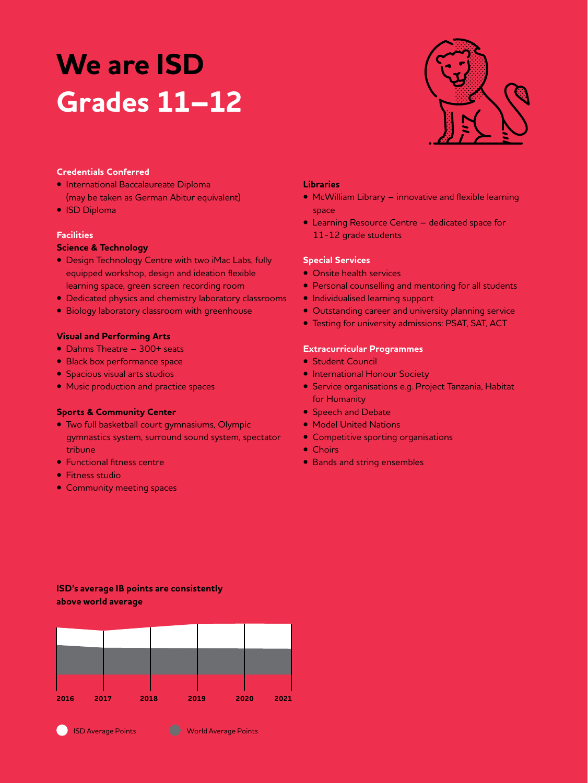# **We are ISD Grades 11–12**



#### **Credentials Conferred**

- International Baccalaureate Diploma (may be taken as German Abitur equivalent)
- **•** ISD Diploma

#### **Facilities**

#### **Science & Technology**

- Design Technology Centre with two iMac Labs, fully equipped workshop, design and ideation flexible learning space, green screen recording room
- Dedicated physics and chemistry laboratory classrooms
- Biology laboratory classroom with greenhouse

#### **Visual and Performing Arts**

- Dahms Theatre 300+ seats
- Black box performance space
- Spacious visual arts studios
- Music production and practice spaces

#### **Sports & Community Center**

- Two full basketball court gymnasiums, Olympic gymnastics system, surround sound system, spectator tribune
- Functional fitness centre
- Fitness studio
- Community meeting spaces

#### **Libraries**

- McWilliam Library innovative and flexible learning space
- Learning Resource Centre dedicated space for 11-12 grade students

#### **Special Services**

- Onsite health services
- Personal counselling and mentoring for all students
- Individualised learning support
- Outstanding career and university planning service
- Testing for university admissions: PSAT, SAT, ACT

#### **Extracurricular Programmes**

- Student Council
- International Honour Society
- Service organisations e.g. Project Tanzania, Habitat for Humanity
- Speech and Debate
- Model United Nations
- Competitive sporting organisations
- Choirs
- Bands and string ensembles

#### **ISD's average IB points are consistently above world average**